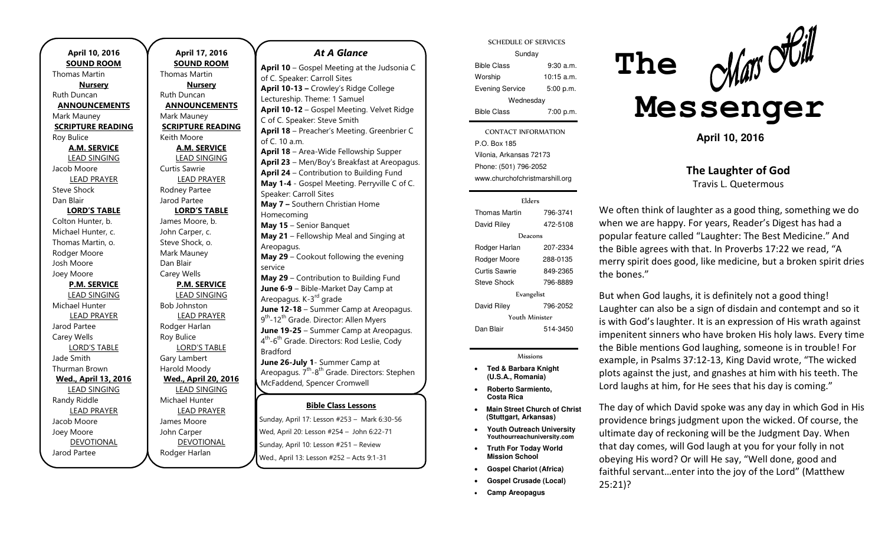**April 10, 2016 SOUND ROOM**  Thomas Martin **Nursery**  Ruth Duncan **ANNOUNCEMENTS**  Mark Mauney **SCRIPTURE READING**  Roy Bulice **A.M. SERVICE**  LEAD SINGING Jacob Moore LEAD PRAYER Steve Shock Dan Blair **LORD'S TABLE** Colton Hunter, b. Michael Hunter, c. Thomas Martin, o. Rodger Moore Josh Moore Joey Moore **P.M. SERVICE**  LEAD SINGING Michael Hunter LEAD PRAYER Jarod Partee Carey Wells LORD'S TABLE Jade Smith Thurman Brown **Wed., April 13, 2016**  LEAD SINGING Randy Riddle LEAD PRAYER Jacob Moore Joey Moore **DEVOTIONAL** Jarod Partee

**April 17, 2016 SOUND ROOM**  Thomas Martin **Nursery**  Ruth Duncan **ANNOUNCEMENTS**  Mark Mauney **SCRIPTURE READING**  Keith Moore **A.M. SERVICE**  LEAD SINGING Curtis Sawrie LEAD PRAYER Rodney Partee Jarod Partee **LORD'S TABLE** James Moore, b. John Carper, c. Steve Shock, o. Mark Mauney Dan Blair Carey Wells **P.M. SERVICE**  LEAD SINGING Bob Johnston LEAD PRAYER Rodger Harlan Roy Bulice LORD'S TABLE Gary Lambert Harold Moody **Wed., April 20, 2016**  LEAD SINGING Michael Hunter LEAD PRAYER James Moore John Carper DEVOTIONAL Rodger Harlan

#### *At A Glance*

**Bible Class Lessons** Sunday, April 17: Lesson #253 – Mark 6:30-56 – **April 10** – Gospel Meeting at the Judsonia C of C. Speaker: Carroll Sites **April 10-13 –** Crowley's Ridge College Lectureship. Theme: 1 Samuel **April 10-12** – Gospel Meeting. Velvet Ridge C of C. Speaker: Steve Smith **April 18** – Preacher's Meeting. Greenbrier C of C. 10 a.m. **April 18** – Area-Wide Fellowship Supper **April 23** – Men/Boy's Breakfast at Areopagus. **April 24** – Contribution to Building Fund **May 1-4** - Gospel Meeting. Perryville C of C. Speaker: Carroll Sites **May 7 –** Southern Christian Home Homecoming **May 15** – Senior Banquet **May 21** – Fellowship Meal and Singing at Areopagus. **May 29** – Cookout following the evening service **May 29** – Contribution to Building Fund **June 6-9** – Bible-Market Day Camp at Areopagus. K-3<sup>rd</sup> grade **June 12-18** – Summer Camp at Areopagus. 9<sup>th</sup>-12<sup>th</sup> Grade. Director: Allen Myers **June 19-25** – Summer Camp at Areopagus. 4<sup>th</sup>-6<sup>th</sup> Grade. Directors: Rod Leslie, Cody Bradford **June 26-July 1**- Summer Camp at Areopagus.  $7<sup>th</sup> - 8<sup>th</sup>$  Grade. Directors: Stephen McFaddend, Spencer Cromwell **June 26** – Contribution to Building Fund

Wed, April 20: Lesson #254 – John 6:22-71 – Sunday, April 10: Lesson #251 – Review – Wed., April 13: Lesson #252 – Acts 9:1-31 – –

SCHEDULE OF SERVICES

| Sunday                 |              |
|------------------------|--------------|
| <b>Bible Class</b>     | 9:30a.m.     |
| Worship                | $10:15$ a.m. |
| <b>Evening Service</b> | 5:00 p.m.    |
| Wednesday              |              |
| <b>Bible Class</b>     | 7:00 p.m.    |

P.O. Box 185 CONTACT INFORMATION Vilonia, Arkansas 72173 Phone: (501) 796-2052 www.churchofchristmarshill.org

| Elders               |          |  |
|----------------------|----------|--|
| <b>Thomas Martin</b> | 796-3741 |  |
| David Riley          | 472-5108 |  |
| Deacons              |          |  |
| Rodger Harlan        | 207-2334 |  |
| Rodger Moore         | 288-0135 |  |
| Curtis Sawrie        | 849-2365 |  |
| <b>Steve Shock</b>   | 796-8889 |  |
| Evangelist           |          |  |
| David Riley          | 796-2052 |  |
| Youth Minister       |          |  |
| Dan Blair            | 514-3450 |  |

#### Missions

- **Ted & Barbara Knight (U.S.A., Romania)**
- **Roberto Sarmiento, Costa Rica**
- **Main Street Church of Christ (Stuttgart, Arkansas)**
- **Youth Outreach University Youthourreachuniversity.com**
- **Truth For Today World Mission School**
- **Gospel Chariot (Africa)**
- **Gospel Crusade (Local)**
- **Camp Areopagus**



**April 10, 2016** 

**The Laughter of God**  Travis L. Quetermous

We often think of laughter as a good thing, something we do when we are happy. For years, Reader's Digest has had a popular feature called "Laughter: The Best Medicine." And the Bible agrees with that. In Proverbs 17:22 we read, "A merry spirit does good, like medicine, but a broken spirit dries the bones."

But when God laughs, it is definitely not a good thing! Laughter can also be a sign of disdain and contempt and so it is with God's laughter. It is an expression of His wrath against impenitent sinners who have broken His holy laws. Every time the Bible mentions God laughing, someone is in trouble! For example, in Psalms 37:12-13, King David wrote, "The wicked plots against the just, and gnashes at him with his teeth. The Lord laughs at him, for He sees that his day is coming."

The day of which David spoke was any day in which God in His providence brings judgment upon the wicked. Of course, the ultimate day of reckoning will be the Judgment Day. When that day comes, will God laugh at you for your folly in not obeying His word? Or will He say, "Well done, good and faithful servant...enter into the joy of the Lord" (Matthew 25:21)?